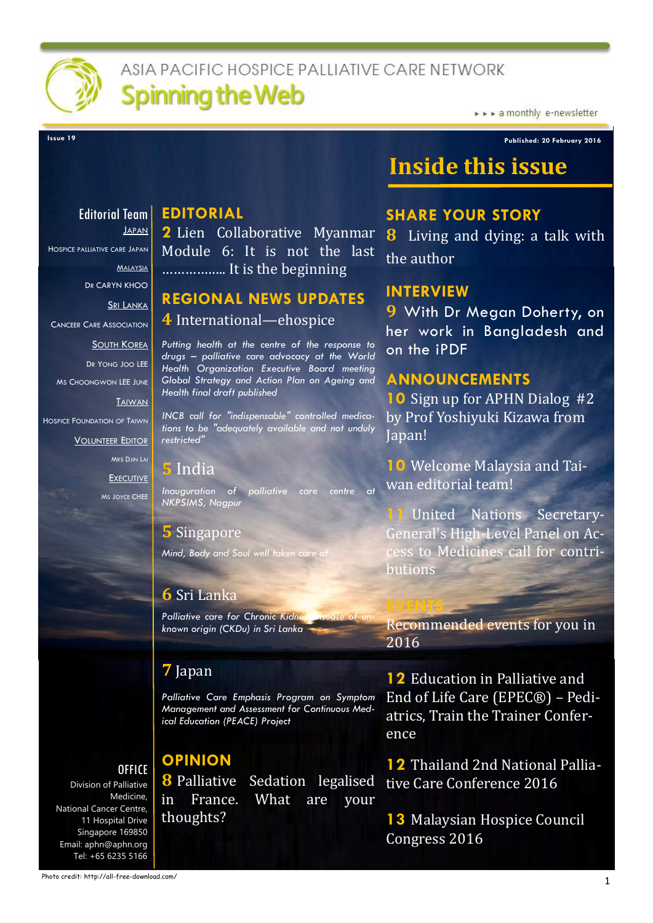

# ASIA PACIFIC HOSPICF PALLIATIVE CARE NETWORK **Spinning the Web**

> > > a monthly e-newsletter

**Issue 19 Published: 20 February 2016**

# **Inside this issue**

### **Editorial Team** JAPAN

HOSPICE PALLIATIVE CARE JAPAN

MALAYSIA

DR CARYN KHOO

SRI LANKA

CANCEER CARE ASSOCIATION

SOUTH KOREA

DR YONG JOO LEE

MS CHOONGWON LEE JUNE

**TAIWAN** 

HOSPICE FOUNDATION OF TAIWN

VOLUNTEER EDITOR

MRS DJIN LAI **EXECUTIVE** MS JOYCE CHEE

*Inauguration of palliative care centre at* 

*Mind, Body and Soul well taken care of*

### **6** Sri Lanka

*Palliative care for Chronic Kidney known origin (CKDu) in Sri Lanka*

### **7** Japan

*Palliative Care Emphasis Program on Symptom Management and Assessment for Continuous Medical Education (PEACE) Project*

# **OPINION**

Division of Palliative Medicine, National Cancer Centre, 11 Hospital Drive Singapore 169850 Email: aphn@aphn.org Tel: +65 6235 5166

**OFFICE** 

**EDITORIAL 2** Lien Collaborative Myanmar Module 6: It is not the last …………….. It is the beginning

# **REGIONAL NEWS UPDATES 4** International—ehospice

*Putting health at the centre of the response to drugs – palliative care advocacy at the World Health Organization Executive Board meeting Global Strategy and Action Plan on Ageing and Health final draft published*

*INCB call for "indispensable" controlled medications to be "adequately available and not unduly restricted"*

### **5** India

*NKPSIMS, Nagpur*

### **5** Singapore

**8** Palliative Sedation legalised in France. What are your thoughts?

### **SHARE YOUR STORY**

**8** Living and dying: a talk with the author

### **INTERVIEW**

**9** With Dr Megan Doherty, on her work in Bangladesh and on the iPDF

### **ANNOUNCEMENTS**

**10** Sign up for APHN Dialog #2 by Prof Yoshiyuki Kizawa from Japan!

**10** Welcome Malaysia and Taiwan editorial team!

**11** United Nations Secretary-General's High-Level Panel on Access to Medicines call for contributions

Recommended events for you in 2016

**12** Education in Palliative and End of Life Care (EPEC®) – Pediatrics, Train the Trainer Conference

**12** Thailand 2nd National Palliative Care Conference 2016

**13** Malaysian Hospice Council Congress 2016

Photo credit: http://all-free-download.com/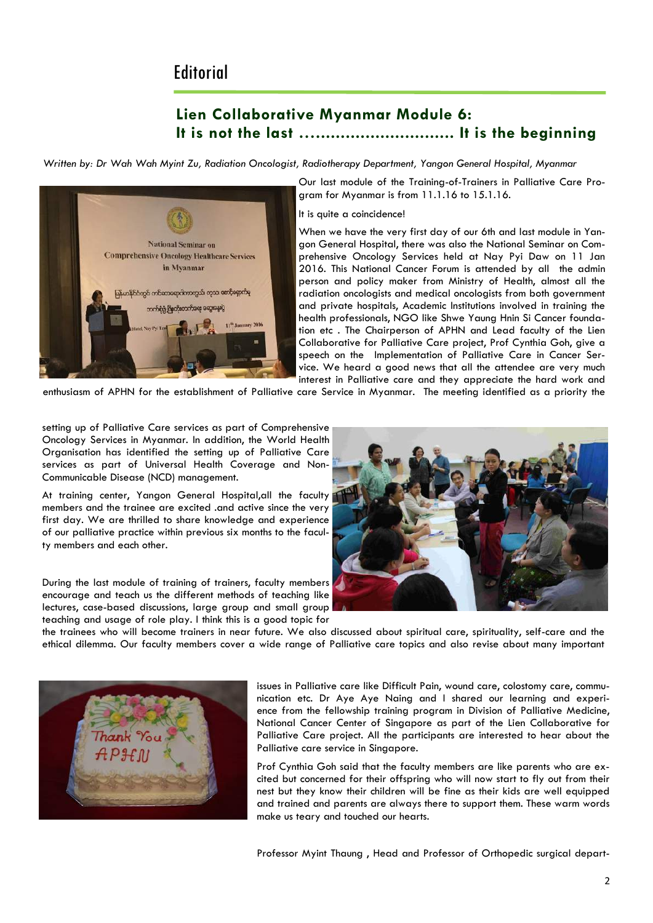### **Editorial**

### **Lien Collaborative Myanmar Module 6: It is not the last …............................ It is the beginning**

*Written by: Dr Wah Wah Myint Zu, Radiation Oncologist, Radiotherapy Department, Yangon General Hospital, Myanmar*



Our last module of the Training-of-Trainers in Palliative Care Program for Myanmar is from 11.1.16 to 15.1.16.

It is quite a coincidence!

When we have the very first day of our 6th and last module in Yangon General Hospital, there was also the National Seminar on Comprehensive Oncology Services held at Nay Pyi Daw on 11 Jan 2016. This National Cancer Forum is attended by all the admin person and policy maker from Ministry of Health, almost all the radiation oncologists and medical oncologists from both government and private hospitals, Academic Institutions involved in training the health professionals, NGO like Shwe Yaung Hnin Si Cancer foundation etc . The Chairperson of APHN and Lead faculty of the Lien Collaborative for Palliative Care project, Prof Cynthia Goh, give a speech on the Implementation of Palliative Care in Cancer Service. We heard a good news that all the attendee are very much interest in Palliative care and they appreciate the hard work and

enthusiasm of APHN for the establishment of Palliative care Service in Myanmar. The meeting identified as a priority the

setting up of Palliative Care services as part of Comprehensive Oncology Services in Myanmar. In addition, the World Health Organisation has identified the setting up of Palliative Care services as part of Universal Health Coverage and Non-Communicable Disease (NCD) management.

At training center, Yangon General Hospital,all the faculty members and the trainee are excited .and active since the very first day. We are thrilled to share knowledge and experience of our palliative practice within previous six months to the faculty members and each other.

During the last module of training of trainers, faculty members encourage and teach us the different methods of teaching like lectures, case-based discussions, large group and small group teaching and usage of role play. I think this is a good topic for



the trainees who will become trainers in near future. We also discussed about spiritual care, spirituality, self-care and the ethical dilemma. Our faculty members cover a wide range of Palliative care topics and also revise about many important



issues in Palliative care like Difficult Pain, wound care, colostomy care, communication etc. Dr Aye Aye Naing and I shared our learning and experience from the fellowship training program in Division of Palliative Medicine, National Cancer Center of Singapore as part of the Lien Collaborative for Palliative Care project. All the participants are interested to hear about the Palliative care service in Singapore.

Prof Cynthia Goh said that the faculty members are like parents who are excited but concerned for their offspring who will now start to fly out from their nest but they know their children will be fine as their kids are well equipped and trained and parents are always there to support them. These warm words make us teary and touched our hearts.

Professor Myint Thaung , Head and Professor of Orthopedic surgical depart-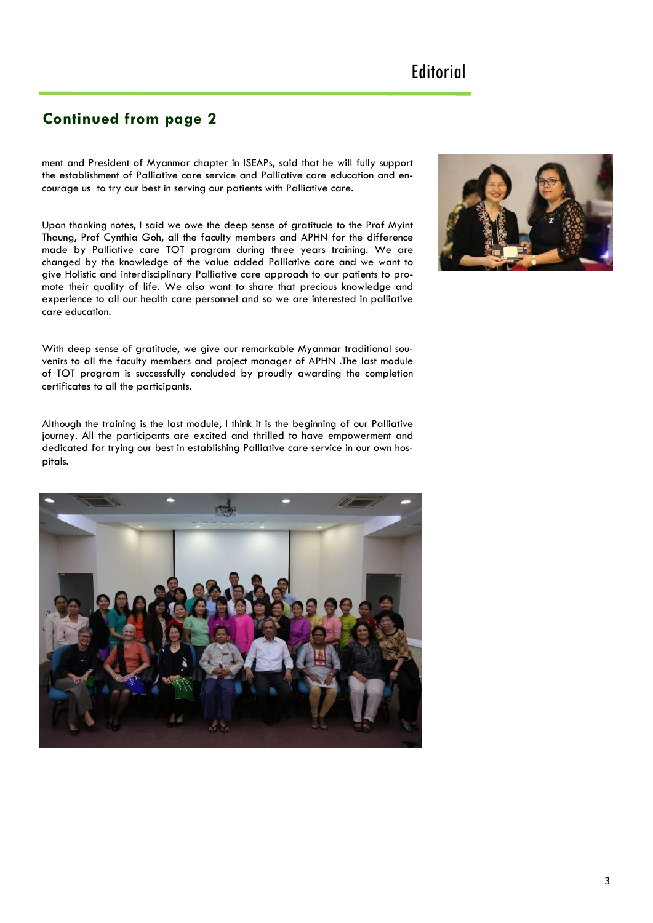### **Continued from page 2**

ment and President of Myanmar chapter in ISEAPs, said that he will fully support the establishment of Palliative care service and Palliative care education and encourage us to try our best in serving our patients with Palliative care.

Upon thanking notes, I said we owe the deep sense of gratitude to the Prof Myint Thaung, Prof Cynthia Goh, all the faculty members and APHN for the difference made by Palliative care TOT program during three years training. We are changed by the knowledge of the value added Palliative care and we want to give Holistic and interdisciplinary Palliative care approach to our patients to promote their quality of life. We also want to share that precious knowledge and experience to all our health care personnel and so we are interested in palliative care education.

With deep sense of gratitude, we give our remarkable Myanmar traditional souvenirs to all the faculty members and project manager of APHN .The last module of TOT program is successfully concluded by proudly awarding the completion certificates to all the participants.

Although the training is the last module, I think it is the beginning of our Palliative journey. All the participants are excited and thrilled to have empowerment and dedicated for trying our best in establishing Palliative care service in our own hospitals.



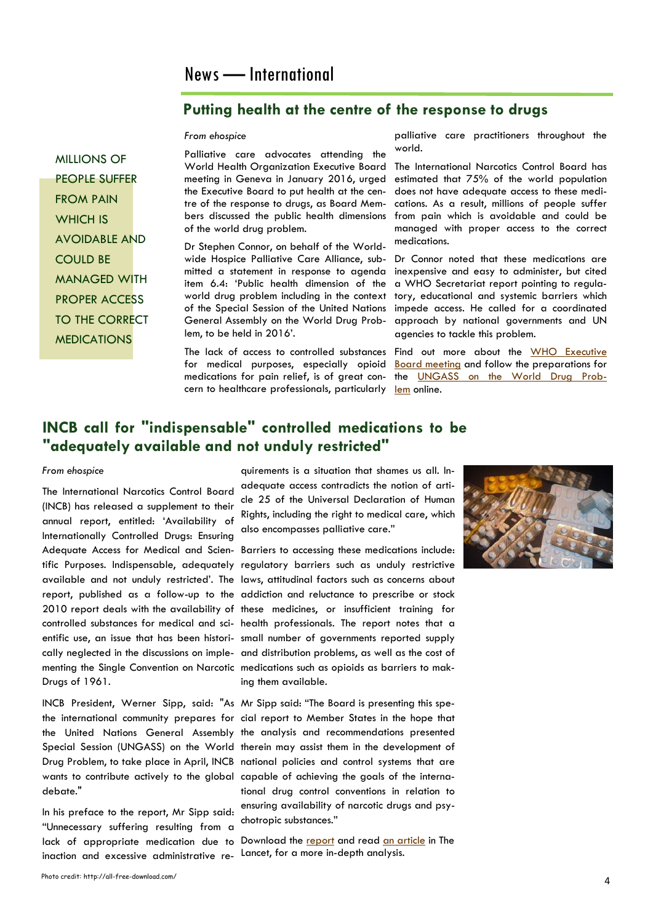### **Putting health at the centre of the response to drugs**

*From ehospice*

Palliative care advocates attending the World Health Organization Executive Board meeting in Geneva in January 2016, urged the Executive Board to put health at the centre of the response to drugs, as Board Members discussed the public health dimensions of the world drug problem.

Dr Stephen Connor, on behalf of the Worldwide Hospice Palliative Care Alliance, submitted a statement in response to agenda item 6.4: 'Public health dimension of the world drug problem including in the context of the Special Session of the United Nations General Assembly on the World Drug Problem, to be held in 2016'.

for medical purposes, especially opioid cern to healthcare professionals, particularly [lem](http://www.unodc.org/ungass2016/) online.

palliative care practitioners throughout the world.

The International Narcotics Control Board has estimated that 75% of the world population does not have adequate access to these medications. As a result, millions of people suffer from pain which is avoidable and could be managed with proper access to the correct medications.

Dr Connor noted that these medications are inexpensive and easy to administer, but cited a WHO Secretariat report pointing to regulatory, educational and systemic barriers which impede access. He called for a coordinated approach by national governments and UN agencies to tackle this problem.

The lack of access to controlled substances Find out more about the WHO Executive medications for pain relief, is of great con- the <u>UNGASS on the World Drug Prob-</u> [Board meeting](http://www.who.int/mediacentre/events/governance/eb/en/) and follow the preparations for

### **INCB call for "indispensable" controlled medications to be "adequately available and not unduly restricted"**

#### *From ehospice*

MILLIONS OF PEOPLE SUFFER

FROM PAIN WHICH IS

COULD BE

AVOIDABLE AND

MANAGED WITH PROPER ACCESS TO THE CORRECT MEDICATIONS

The International Narcotics Control Board (INCB) has released a supplement to their annual report, entitled: 'Availability of Internationally Controlled Drugs: Ensuring Adequate Access for Medical and Scien-Barriers to accessing these medications include: Drugs of 1961.

debate."

In his preface to the report, Mr Sipp said: "Unnecessary suffering resulting from a inaction and excessive administrative re-Lancet, for a more in-depth analysis.

quirements is a situation that shames us all. Inadequate access contradicts the notion of article 25 of the Universal Declaration of Human Rights, including the right to medical care, which also encompasses palliative care."

tific Purposes. Indispensable, adequately regulatory barriers such as unduly restrictive available and not unduly restricted'. The laws, attitudinal factors such as concerns about report, published as a follow-up to the addiction and reluctance to prescribe or stock 2010 report deals with the availability of these medicines, or insufficient training for controlled substances for medical and sci-health professionals. The report notes that a entific use, an issue that has been histori-small number of governments reported supply cally neglected in the discussions on imple- and distribution problems, as well as the cost of menting the Single Convention on Narcotic medications such as opioids as barriers to making them available.

INCB President, Werner Sipp, said: "As Mr Sipp said: "The Board is presenting this spethe international community prepares for cial report to Member States in the hope that the United Nations General Assembly the analysis and recommendations presented Special Session (UNGASS) on the World therein may assist them in the development of Drug Problem, to take place in April, INCB national policies and control systems that are wants to contribute actively to the global capable of achieving the goals of the international drug control conventions in relation to ensuring availability of narcotic drugs and psychotropic substances."

lack of appropriate medication due to Download the [report](http://www.incb.org/documents/Publications/AnnualReports/AR2015/Supplement-AR15_availability_English.pdf) and read [an article](http://www.thelancet.com/journals/lancet/article/PIIS0140-6736(16)00161-6/abstract) in The

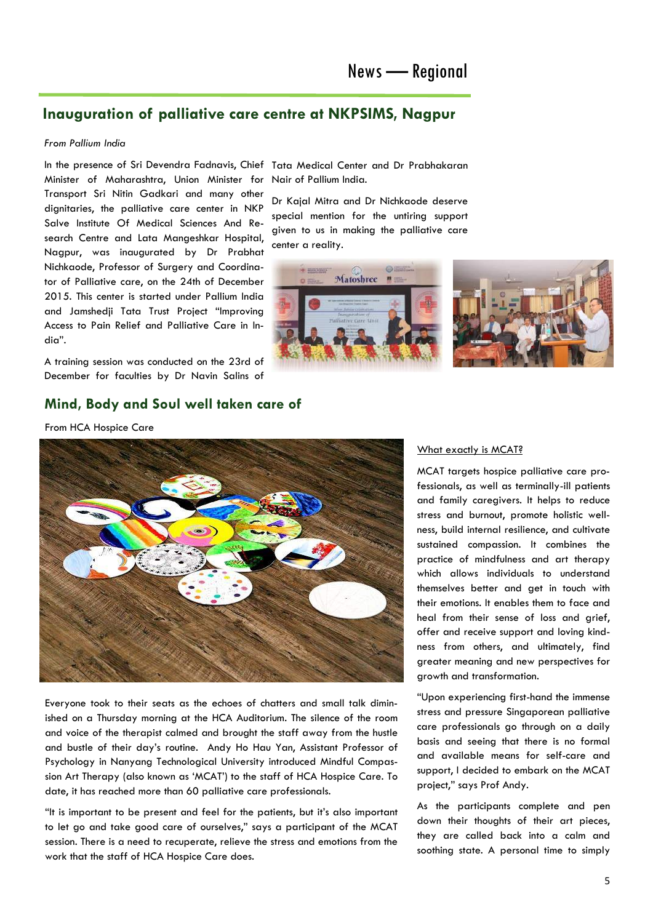### **Inauguration of palliative care centre at NKPSIMS, Nagpur**

#### *From Pallium India*

In the presence of Sri Devendra Fadnavis, Chief Tata Medical Center and Dr Prabhakaran Minister of Maharashtra, Union Minister for Transport Sri Nitin Gadkari and many other dignitaries, the palliative care center in NKP Salve Institute Of Medical Sciences And Research Centre and Lata Mangeshkar Hospital, Nagpur, was inaugurated by Dr Prabhat Nichkaode, Professor of Surgery and Coordinator of Palliative care, on the 24th of December 2015. This center is started under Pallium India and Jamshedji Tata Trust Project "Improving Access to Pain Relief and Palliative Care in India".

A training session was conducted on the 23rd of December for faculties by Dr Navin Salins of

### **Mind, Body and Soul well taken care of**

From HCA Hospice Care



Everyone took to their seats as the echoes of chatters and small talk diminished on a Thursday morning at the HCA Auditorium. The silence of the room and voice of the therapist calmed and brought the staff away from the hustle and bustle of their day's routine. Andy Ho Hau Yan, Assistant Professor of Psychology in Nanyang Technological University introduced Mindful Compassion Art Therapy (also known as 'MCAT') to the staff of HCA Hospice Care. To date, it has reached more than 60 palliative care professionals.

"It is important to be present and feel for the patients, but it's also important to let go and take good care of ourselves," says a participant of the MCAT session. There is a need to recuperate, relieve the stress and emotions from the work that the staff of HCA Hospice Care does.

# Nair of Pallium India.

Dr Kajal Mitra and Dr Nichkaode deserve special mention for the untiring support given to us in making the palliative care center a reality.



### What exactly is MCAT?

MCAT targets hospice palliative care professionals, as well as terminally-ill patients and family caregivers. It helps to reduce stress and burnout, promote holistic wellness, build internal resilience, and cultivate sustained compassion. It combines the practice of mindfulness and art therapy which allows individuals to understand themselves better and get in touch with their emotions. It enables them to face and heal from their sense of loss and grief, offer and receive support and loving kindness from others, and ultimately, find greater meaning and new perspectives for growth and transformation.

"Upon experiencing first-hand the immense stress and pressure Singaporean palliative care professionals go through on a daily basis and seeing that there is no formal and available means for self-care and support, I decided to embark on the MCAT project," says Prof Andy.

As the participants complete and pen down their thoughts of their art pieces, they are called back into a calm and soothing state. A personal time to simply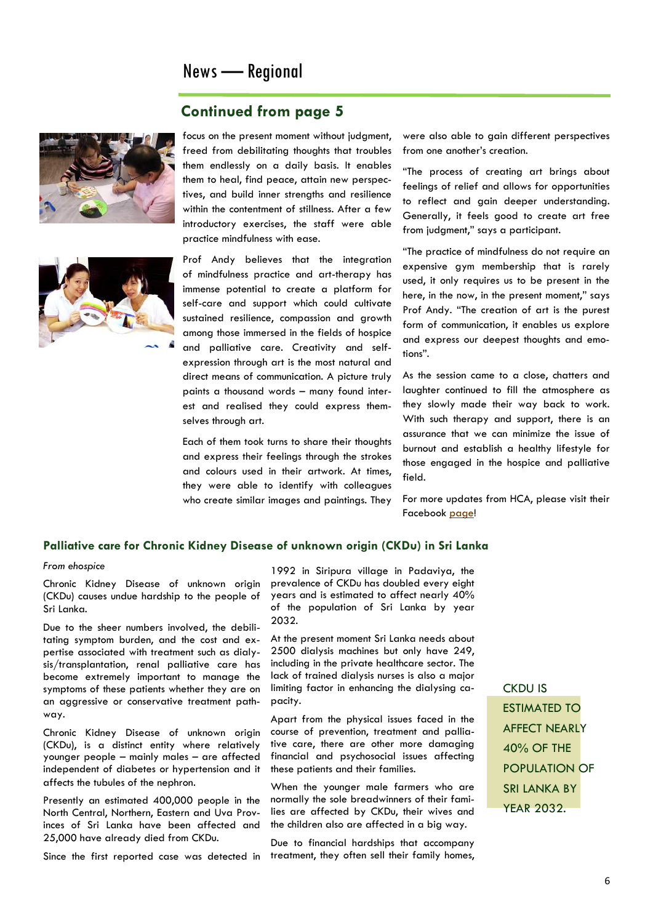### News — Regional

### **Continued from page 5**





focus on the present moment without judgment, freed from debilitating thoughts that troubles them endlessly on a daily basis. It enables them to heal, find peace, attain new perspectives, and build inner strengths and resilience within the contentment of stillness. After a few introductory exercises, the staff were able practice mindfulness with ease.

Prof Andy believes that the integration of mindfulness practice and art-therapy has immense potential to create a platform for self-care and support which could cultivate sustained resilience, compassion and growth among those immersed in the fields of hospice and palliative care. Creativity and selfexpression through art is the most natural and direct means of communication. A picture truly paints a thousand words – many found interest and realised they could express themselves through art.

Each of them took turns to share their thoughts and express their feelings through the strokes and colours used in their artwork. At times, they were able to identify with colleagues who create similar images and paintings. They were also able to gain different perspectives from one another's creation.

"The process of creating art brings about feelings of relief and allows for opportunities to reflect and gain deeper understanding. Generally, it feels good to create art free from judgment," says a participant.

"The practice of mindfulness do not require an expensive gym membership that is rarely used, it only requires us to be present in the here, in the now, in the present moment," says Prof Andy. "The creation of art is the purest form of communication, it enables us explore and express our deepest thoughts and emotions".

As the session came to a close, chatters and laughter continued to fill the atmosphere as they slowly made their way back to work. With such therapy and support, there is an assurance that we can minimize the issue of burnout and establish a healthy lifestyle for those engaged in the hospice and palliative field.

For more updates from HCA, please visit their Facebook [page!](https://www.facebook.com/hcahospicecare/)

### **Palliative care for Chronic Kidney Disease of unknown origin (CKDu) in Sri Lanka**

#### *From ehospice*

Chronic Kidney Disease of unknown origin (CKDu) causes undue hardship to the people of Sri Lanka.

Due to the sheer numbers involved, the debilitating symptom burden, and the cost and expertise associated with treatment such as dialysis/transplantation, renal palliative care has become extremely important to manage the symptoms of these patients whether they are on an aggressive or conservative treatment pathway.

Chronic Kidney Disease of unknown origin (CKDu), is a distinct entity where relatively younger people – mainly males – are affected independent of diabetes or hypertension and it affects the tubules of the nephron.

Presently an estimated 400,000 people in the North Central, Northern, Eastern and Uva Provinces of Sri Lanka have been affected and 25,000 have already died from CKDu.

Since the first reported case was detected in

1992 in Siripura village in Padaviya, the prevalence of CKDu has doubled every eight years and is estimated to affect nearly 40% of the population of Sri Lanka by year 2032.

At the present moment Sri Lanka needs about 2500 dialysis machines but only have 249, including in the private healthcare sector. The lack of trained dialysis nurses is also a major limiting factor in enhancing the dialysing capacity.

Apart from the physical issues faced in the course of prevention, treatment and palliative care, there are other more damaging financial and psychosocial issues affecting these patients and their families.

When the younger male farmers who are normally the sole breadwinners of their families are affected by CKDu, their wives and the children also are affected in a big way.

Due to financial hardships that accompany treatment, they often sell their family homes,

CKDU IS ESTIMATED TO AFFECT NEARLY 40% OF THE POPULATION OF SRI LANKA BY YEAR 2032.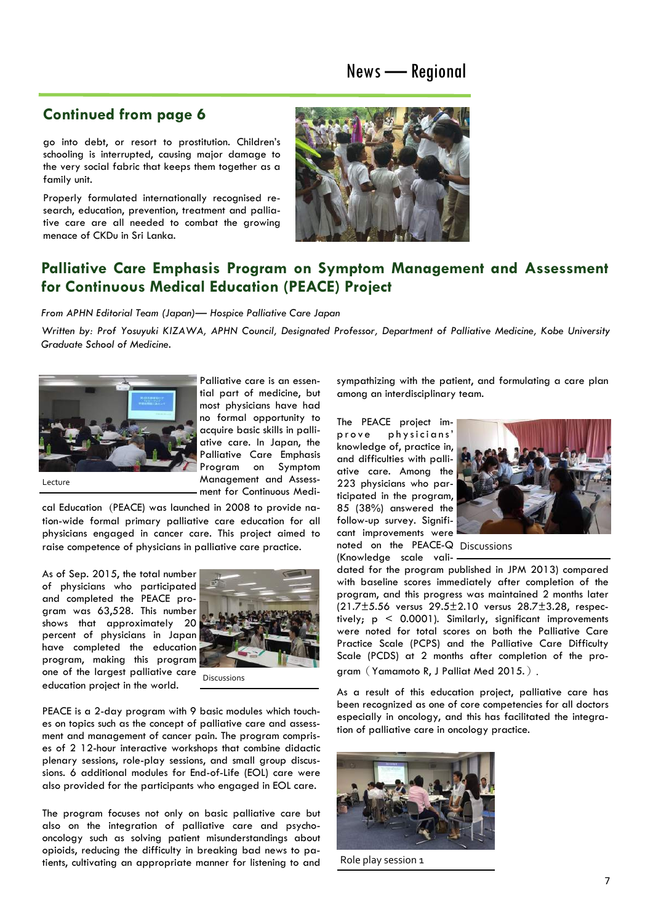### News — Regional

### **Continued from page 6**

go into debt, or resort to prostitution. Children's schooling is interrupted, causing major damage to the very social fabric that keeps them together as a family unit.

Properly formulated internationally recognised research, education, prevention, treatment and palliative care are all needed to combat the growing menace of CKDu in Sri Lanka.



### **Palliative Care Emphasis Program on Symptom Management and Assessment for Continuous Medical Education (PEACE) Project**

*From APHN Editorial Team (Japan)— Hospice Palliative Care Japan* 

*Written by: Prof Yosuyuki KIZAWA, APHN Council, Designated Professor, Department of Palliative Medicine, Kobe University Graduate School of Medicine.*



Palliative care is an essential part of medicine, but most physicians have had no formal opportunity to acquire basic skills in palliative care. In Japan, the Palliative Care Emphasis Program on Symptom Management and Assessment for Continuous Medi-

Lecture

cal Education (PEACE) was launched in 2008 to provide nation-wide formal primary palliative care education for all physicians engaged in cancer care. This project aimed to raise competence of physicians in palliative care practice.

As of Sep. 2015, the total number of physicians who participated and completed the PEACE program was 63,528. This number shows that approximately 20 percent of physicians in Japan have completed the education program, making this program one of the largest palliative care Discussions education project in the world.



PEACE is a 2-day program with 9 basic modules which touches on topics such as the concept of palliative care and assessment and management of cancer pain. The program comprises of 2 12-hour interactive workshops that combine didactic plenary sessions, role-play sessions, and small group discussions. 6 additional modules for End-of-Life (EOL) care were also provided for the participants who engaged in EOL care.

The program focuses not only on basic palliative care but also on the integration of palliative care and psychooncology such as solving patient misunderstandings about opioids, reducing the difficulty in breaking bad news to patients, cultivating an appropriate manner for listening to and sympathizing with the patient, and formulating a care plan among an interdisciplinary team.

The PEACE project improve physicians' knowledge of, practice in, and difficulties with palliative care. Among the 223 physicians who participated in the program, 85 (38%) answered the follow-up survey. Significant improvements were noted on the PEACE-Q Discussions



(Knowledge scale vali-

dated for the program published in JPM 2013) compared with baseline scores immediately after completion of the program, and this progress was maintained 2 months later (21.7±5.56 versus 29.5±2.10 versus 28.7±3.28, respectively;  $p < 0.0001$ ). Similarly, significant improvements were noted for total scores on both the Palliative Care Practice Scale (PCPS) and the Palliative Care Difficulty Scale (PCDS) at 2 months after completion of the program(Yamamoto R, J Palliat Med 2015.).

As a result of this education project, palliative care has been recognized as one of core competencies for all doctors especially in oncology, and this has facilitated the integration of palliative care in oncology practice.



Role play session 1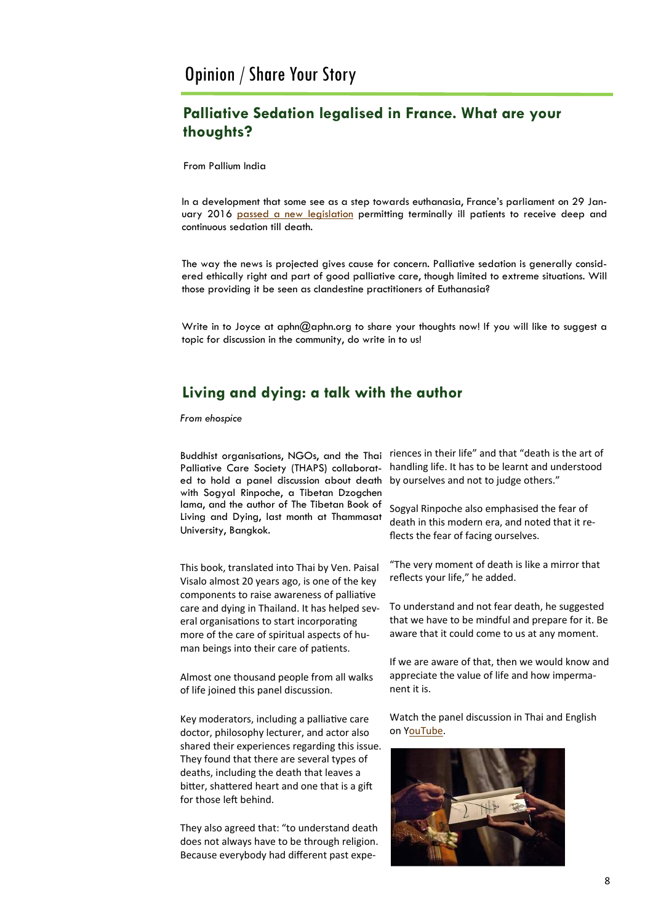### **Palliative Sedation legalised in France. What are your thoughts?**

From Pallium India

In a development that some see as a step towards euthanasia, France's parliament on 29 January 2016 [passed a new legislation](https://www.lifesitenews.com/opinion/frances-new-end-of-life-law-more-extreme-than-belgiums) permitting terminally ill patients to receive deep and continuous sedation till death.

The way the news is projected gives cause for concern. Palliative sedation is generally considered ethically right and part of good palliative care, though limited to extreme situations. Will those providing it be seen as clandestine practitioners of Euthanasia?

Write in to Joyce at aphn@aphn.org to share your thoughts now! If you will like to suggest a topic for discussion in the community, do write in to us!

### **Living and dying: a talk with the author**

*From ehospice*

Buddhist organisations, NGOs, and the Thai Palliative Care Society (THAPS) collaborated to hold a panel discussion about death with Sogyal Rinpoche, a Tibetan Dzogchen lama, and the author of The Tibetan Book of Living and Dying, last month at Thammasat University, Bangkok.

This book, translated into Thai by Ven. Paisal Visalo almost 20 years ago, is one of the key components to raise awareness of palliative care and dying in Thailand. It has helped several organisations to start incorporating more of the care of spiritual aspects of human beings into their care of patients.

Almost one thousand people from all walks of life joined this panel discussion.

Key moderators, including a palliative care doctor, philosophy lecturer, and actor also shared their experiences regarding this issue. They found that there are several types of deaths, including the death that leaves a bitter, shattered heart and one that is a gift for those left behind.

They also agreed that: "to understand death does not always have to be through religion. Because everybody had different past experiences in their life" and that "death is the art of handling life. It has to be learnt and understood by ourselves and not to judge others."

Sogyal Rinpoche also emphasised the fear of death in this modern era, and noted that it reflects the fear of facing ourselves.

"The very moment of death is like a mirror that reflects your life," he added.

To understand and not fear death, he suggested that we have to be mindful and prepare for it. Be aware that it could come to us at any moment.

If we are aware of that, then we would know and appreciate the value of life and how impermanent it is.

Watch the panel discussion in Thai and English on [YouTube.](https://www.youtube.com/watch?v=lnf4Zgicx3c)

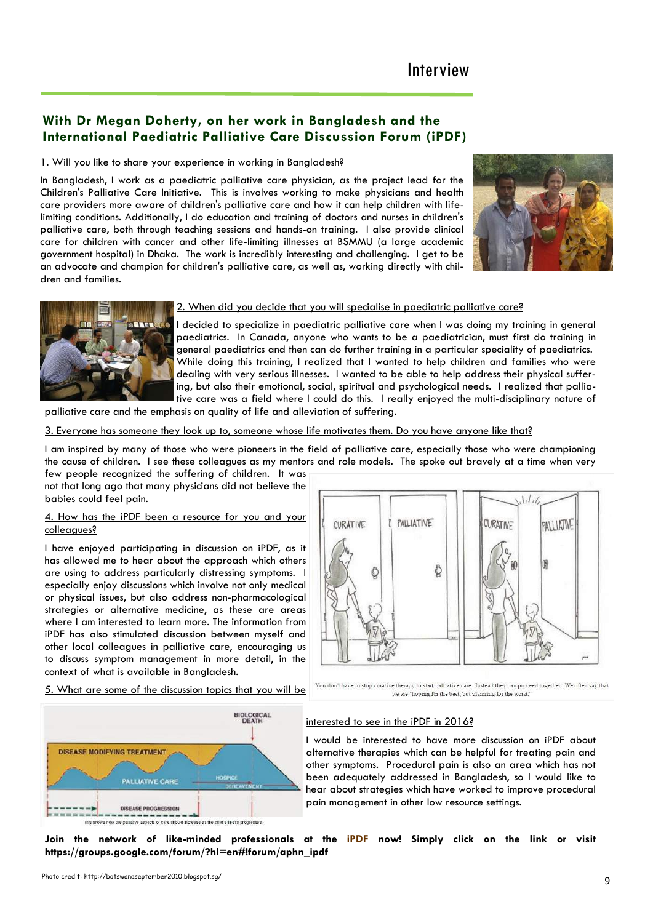# Interview

### **With Dr Megan Doherty, on her work in Bangladesh and the International Paediatric Palliative Care Discussion Forum (iPDF)**

#### 1. Will you like to share your experience in working in Bangladesh?

In Bangladesh, I work as a paediatric palliative care physician, as the project lead for the Children's Palliative Care Initiative. This is involves working to make physicians and health care providers more aware of children's palliative care and how it can help children with lifelimiting conditions. Additionally, I do education and training of doctors and nurses in children's palliative care, both through teaching sessions and hands-on training. I also provide clinical care for children with cancer and other life-limiting illnesses at BSMMU (a large academic government hospital) in Dhaka. The work is incredibly interesting and challenging. I get to be an advocate and champion for children's palliative care, as well as, working directly with children and families.





### 2. When did you decide that you will specialise in paediatric palliative care?

I decided to specialize in paediatric palliative care when I was doing my training in general paediatrics. In Canada, anyone who wants to be a paediatrician, must first do training in general paediatrics and then can do further training in a particular speciality of paediatrics. While doing this training, I realized that I wanted to help children and families who were dealing with very serious illnesses. I wanted to be able to help address their physical suffering, but also their emotional, social, spiritual and psychological needs. I realized that palliative care was a field where I could do this. I really enjoyed the multi-disciplinary nature of

palliative care and the emphasis on quality of life and alleviation of suffering.

3. Everyone has someone they look up to, someone whose life motivates them. Do you have anyone like that?

I am inspired by many of those who were pioneers in the field of palliative care, especially those who were championing the cause of children. I see these colleagues as my mentors and role models. The spoke out bravely at a time when very

few people recognized the suffering of children. It was not that long ago that many physicians did not believe the babies could feel pain.

#### 4. How has the iPDF been a resource for you and your colleagues?

I have enjoyed participating in discussion on iPDF, as it has allowed me to hear about the approach which others are using to address particularly distressing symptoms. I especially enjoy discussions which involve not only medical or physical issues, but also address non-pharmacological strategies or alternative medicine, as these are areas where I am interested to learn more. The information from iPDF has also stimulated discussion between myself and other local colleagues in palliative care, encouraging us to discuss symptom management in more detail, in the context of what is available in Bangladesh.

5. What are some of the discussion topics that you will be



#### interested to see in the iPDF in 2016?

I would be interested to have more discussion on iPDF about alternative therapies which can be helpful for treating pain and other symptoms. Procedural pain is also an area which has not been adequately addressed in Bangladesh, so I would like to hear about strategies which have worked to improve procedural pain management in other low resource settings.

we are "hoping for the best, but planning for the worst.

**Join the network of like-minded professionals at the [iPDF](https://groups.google.com/forum/?hl=en#!forum/aphn_ipdf) now! Simply click on the link or visit https://groups.google.com/forum/?hl=en#!forum/aphn\_ipdf** 

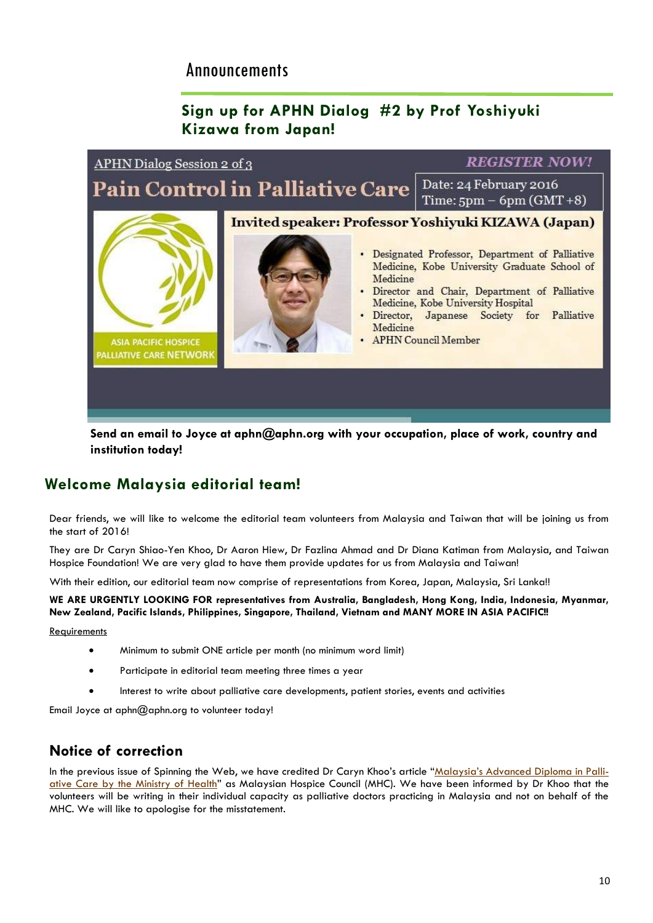# Announcements

### **Sign up for APHN Dialog #2 by Prof Yoshiyuki Kizawa from Japan!**



**Send an email to Joyce at aphn@aphn.org with your occupation, place of work, country and institution today!**

### **Welcome Malaysia editorial team!**

Dear friends, we will like to welcome the editorial team volunteers from Malaysia and Taiwan that will be joining us from the start of 2016!

They are Dr Caryn Shiao-Yen Khoo, Dr Aaron Hiew, Dr Fazlina Ahmad and Dr Diana Katiman from Malaysia, and Taiwan Hospice Foundation! We are very glad to have them provide updates for us from Malaysia and Taiwan!

With their edition, our editorial team now comprise of representations from Korea, Japan, Malaysia, Sri Lanka!!

**WE ARE URGENTLY LOOKING FOR representatives from Australia, Bangladesh, Hong Kong, India, Indonesia, Myanmar, New Zealand, Pacific Islands, Philippines, Singapore, Thailand, Vietnam and MANY MORE IN ASIA PACIFIC!!** 

**Requirements** 

- Minimum to submit ONE article per month (no minimum word limit)
- Participate in editorial team meeting three times a year
- Interest to write about palliative care developments, patient stories, events and activities

Email Joyce at  $aphn@aphn.org$  to volunteer today!

### **Notice of correction**

In the previous issue of Spinning the Web, we have credited Dr Caryn Khoo's article ["Malaysia's Advanced Diploma in Palli](http://aphn.org/malaysias-advanced-diploma-in-palliative-care-by-the-ministry-of-health/)[ative Care by the Ministry of Health](http://aphn.org/malaysias-advanced-diploma-in-palliative-care-by-the-ministry-of-health/)" as Malaysian Hospice Council (MHC). We have been informed by Dr Khoo that the volunteers will be writing in their individual capacity as palliative doctors practicing in Malaysia and not on behalf of the MHC. We will like to apologise for the misstatement.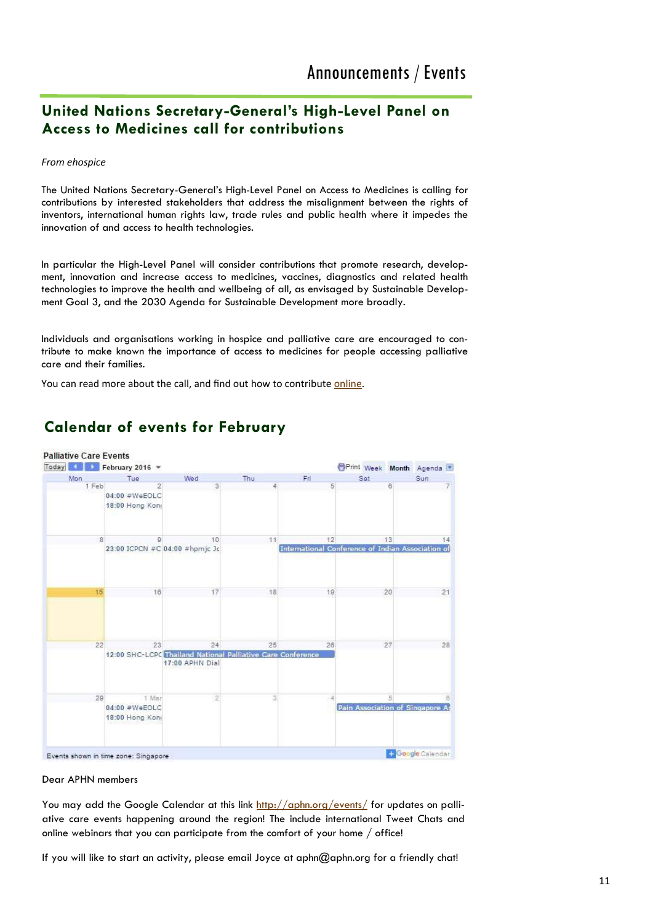### **United Nations Secretary-General's High-Level Panel on Access to Medicines call for contributions**

*From ehospice*

The United Nations Secretary-General's High-Level Panel on Access to Medicines is calling for contributions by interested stakeholders that address the misalignment between the rights of inventors, international human rights law, trade rules and public health where it impedes the innovation of and access to health technologies.

In particular the High-Level Panel will consider contributions that promote research, development, innovation and increase access to medicines, vaccines, diagnostics and related health technologies to improve the health and wellbeing of all, as envisaged by Sustainable Development Goal 3, and the 2030 Agenda for Sustainable Development more broadly.

Individuals and organisations working in hospice and palliative care are encouraged to contribute to make known the importance of access to medicines for people accessing palliative care and their families.

You can read more about the call, and find out how to contribute [online.](http://www.unsgaccessmeds.org./call-for-contributions/)



### **Calendar of events for February**

Dear APHN members

You may add the Google Calendar at this link <http://aphn.org/events/> for updates on palliative care events happening around the region! The include international Tweet Chats and online webinars that you can participate from the comfort of your home / office!

If you will like to start an activity, please email Joyce at aphn@aphn.org for a friendly chat!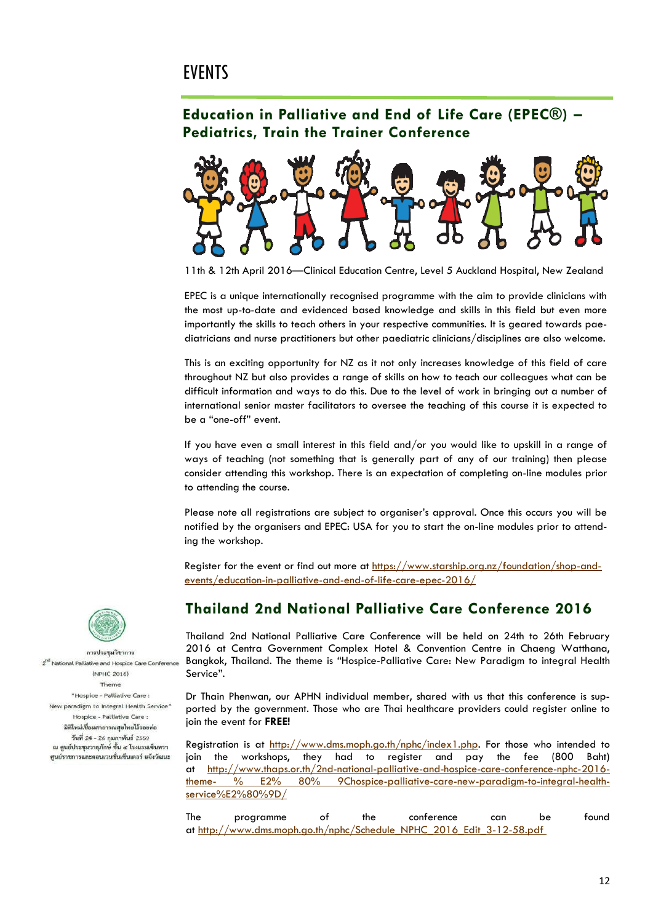### **EVENTS**

### **Education in Palliative and End of Life Care (EPEC®) – Pediatrics, Train the Trainer Conference**



11th & 12th April 2016—Clinical Education Centre, Level 5 Auckland Hospital, New Zealand

EPEC is a unique internationally recognised programme with the aim to provide clinicians with the most up-to-date and evidenced based knowledge and skills in this field but even more importantly the skills to teach others in your respective communities. It is geared towards paediatricians and nurse practitioners but other paediatric clinicians/disciplines are also welcome.

This is an exciting opportunity for NZ as it not only increases knowledge of this field of care throughout NZ but also provides a range of skills on how to teach our colleagues what can be difficult information and ways to do this. Due to the level of work in bringing out a number of international senior master facilitators to oversee the teaching of this course it is expected to be a "one-off" event.

If you have even a small interest in this field and/or you would like to upskill in a range of ways of teaching (not something that is generally part of any of our training) then please consider attending this workshop. There is an expectation of completing on-line modules prior to attending the course.

Please note all registrations are subject to organiser's approval. Once this occurs you will be notified by the organisers and EPEC: USA for you to start the on-line modules prior to attending the workshop.

Register for the event or find out more at [https://www.starship.org.nz/foundation/shop-and](https://www.starship.org.nz/foundation/shop-and-events/education-in-palliative-and-end-of-life-care-epec-2016/)[events/education-in-palliative-and-end-of-life-care-epec-2016/](https://www.starship.org.nz/foundation/shop-and-events/education-in-palliative-and-end-of-life-care-epec-2016/)

### **Thailand 2nd National Palliative Care Conference 2016**

Thailand 2nd National Palliative Care Conference will be held on 24th to 26th February 2016 at Centra Government Complex Hotel & Convention Centre in Chaeng Watthana, Bangkok, Thailand. The theme is "Hospice-Palliative Care: New Paradigm to integral Health Service".

Dr Thain Phenwan, our APHN individual member, shared with us that this conference is supported by the government. Those who are Thai healthcare providers could register online to join the event for **FREE!**

Registration is at [http://www.dms.moph.go.th/nphc/index1.php.](http://www.dms.moph.go.th/nphc/index1.php) For those who intended to join the workshops, they had to register and pay the fee (800 Baht) at [http://www.thaps.or.th/2nd-national-palliative-and-hospice-care-conference-nphc-2016](http://www.thaps.or.th/2nd-national-palliative-and-hospice-care-conference-nphc-2016-theme-%E2%80%9Chospice-palliative-care-new-paradigm-to-integral-health-service%E2%80%9D/) theme- [% E2% 80% 9Chospice-palliative-care-new-paradigm-to-integral-health](http://www.thaps.or.th/2nd-national-palliative-and-hospice-care-conference-nphc-2016-theme-%E2%80%9Chospice-palliative-care-new-paradigm-to-integral-health-service%E2%80%9D/)[service%E2%80%9D/](http://www.thaps.or.th/2nd-national-palliative-and-hospice-care-conference-nphc-2016-theme-%E2%80%9Chospice-palliative-care-new-paradigm-to-integral-health-service%E2%80%9D/)

| The | programme                                                             | the | conterence | can | be | found |
|-----|-----------------------------------------------------------------------|-----|------------|-----|----|-------|
|     | at http://www.dms.moph.go.th/nphc/Schedule NPHC 2016 Edit 3-12-58.pdf |     |            |     |    |       |



การประชุมวิชาการ  $\overrightarrow{a}$ <sup>d</sup> National Palliative and Hospice Care Conference (NPHC 2016) Theme "Hospice - Palliative Care : New paradiem to Inteeral Health Service" Hospice - Palliative Care : มิติใหม่เชื่อมสาธารณสุขไทยไร้รอยต่อ วันที่ 24 - 26 กุมภาพันธ์ 2559 ณ ศูนย์ประชุมวายุภักษ์ ชั้น ๔ โรงแรมเชิ่นทรา ศูนย์ราชการและคอนเวนชั่นเข็นเตอร์ แจ้งวัฒนะ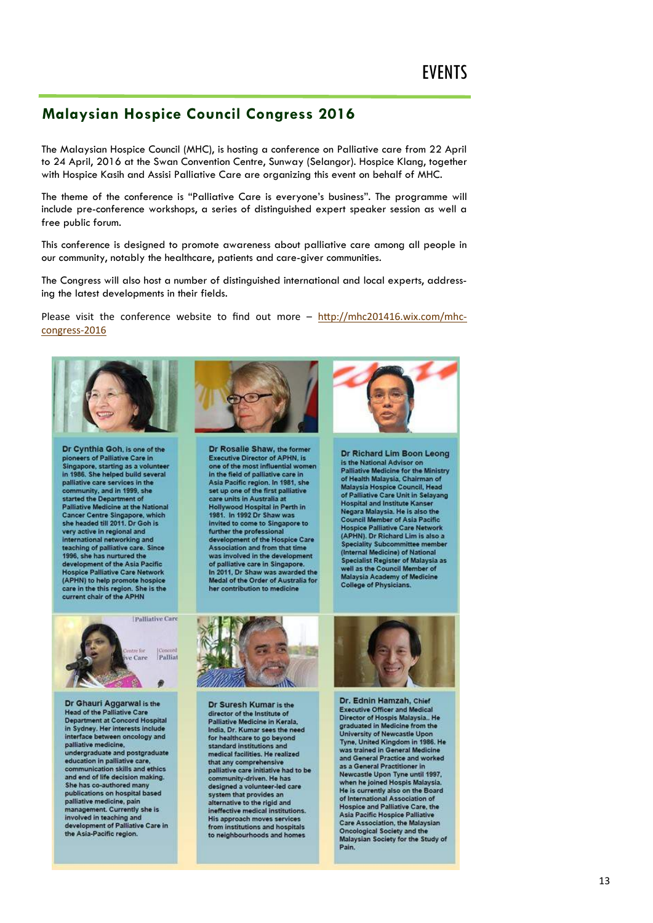### **Malaysian Hospice Council Congress 2016**

The Malaysian Hospice Council (MHC), is hosting a conference on Palliative care from 22 April to 24 April, 2016 at the Swan Convention Centre, Sunway (Selangor). Hospice Klang, together with Hospice Kasih and Assisi Palliative Care are organizing this event on behalf of MHC.

The theme of the conference is "Palliative Care is everyone's business". The programme will include pre-conference workshops, a series of distinguished expert speaker session as well a free public forum.

This conference is designed to promote awareness about palliative care among all people in our community, notably the healthcare, patients and care-giver communities.

The Congress will also host a number of distinguished international and local experts, addressing the latest developments in their fields.

Please visit the conference website to find out more - [http://mhc201416.wix.com/mhc](http://mhc201416.wix.com/mhc-congress-2016)[congress](http://mhc201416.wix.com/mhc-congress-2016)-2016



Dr Cynthia Goh, is one of the pioneers of Palliative Care in Singapore, starting as a volunteer<br>in 1986. She helped build several palliative care services in the community, and in 1999, she started the Department of **Palliative Medicine at the National Cancer Centre Singapore, which** she headed till 2011. Dr Goh is very active in regional and international networking and teaching of palliative care. Since 1996, she has nurtured the development of the Asia Pacific **Hospice Palliative Care Network** (APHN) to help promote hospice<br>care in the this region. She is the<br>current chair of the APHN



Dr Rosalie Shaw, the former **Executive Director of APHN, is** one of the most influential women in the field of palliative care in Asia Pacific region. In 1981, she set up one of the first palliative care units in Australia at Hollywood Hospital in Perth in<br>1981. In 1992 Dr Shaw was invited to come to Singapore to further the professional<br>development of the Hospice Care<br>Association and from that time was involved in the development of palliative care in Singapore.<br>In 2011, Dr Shaw was awarded the Medal of the Order of Australia for her contribution to medicine





Dr Ghauri Aggarwal is the **Head of the Palliative Care Department at Concord Hospital** in Sydney. Her interests include interface between oncology and palliative medicine. undergraduate and postgraduate<br>education in palliative care, communication skills and ethics and end of life decision making. She has co-authored many publications on hospital based palliative medicine, pain<br>management. Currently she is involved in teaching and development of Palliative Care in<br>the Asia-Pacific region.



Dr Suresh Kumar is the director of the Institute of Palliative Medicine in Kerala India, Dr. Kumar sees the need for healthcare to go beyond standard institutions and medical facilities. He realized that any comprehensive palliative care initiative had to be<br>community-driven. He has designed a volunteer-led care system that provides an alternative to the rigid and ineffective medical institutions. His approach moves services from institutions and hospitals to neighbourhoods and homes



Dr. Ednin Hamzah, Chief Executive Officer and Medicial<br>Director of Hospis Malaysia.. He<br>graduated in Medicine from the<br>University of Newcastle Upon<br>Tyne, United Kingdom in 1986. He was trained in General Medicine and General Practice and worked as a General Practitioner in Newcastle Upon Tyne until 1997,<br>when he joined Hospis Malaysia. He is currently also on the Board of International Association of Hospice and Palliative Care, the Asia Pacific Hospice Palliative **Care Association, the Malaysian Oncological Society and the** Malaysian Society for the Study of Pain.